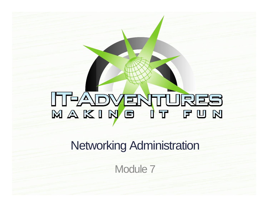# NAKING IT FUN

Networking Administration

Module 7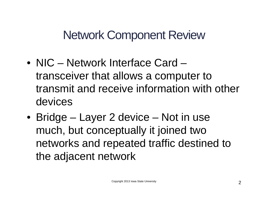Network Component Review

- NIC Network Interface Card transceiver that allows a computer to transmit and receive information with other devices
- Bridge Layer 2 device Not in use much, but conceptually it joined two networks and repeated traffic destined to the adjacent network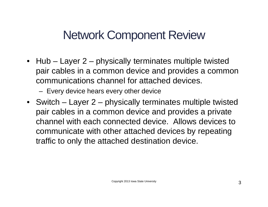# Network Component Review

- Hub Layer 2 physically terminates multiple twisted pair cables in a common device and provides a common communications channel for attached devices.
	- Every device hears every other device
- Switch Layer 2 physically terminates multiple twisted pair cables in a common device and provides a private channel with each connected device. Allows devices to communicate with other attached devices by repeating traffic to only the attached destination device.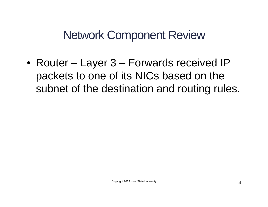Network Component Review

• Router – Layer 3 – Forwards received IP packets to one of its NICs based on the subnet of the destination and routing rules.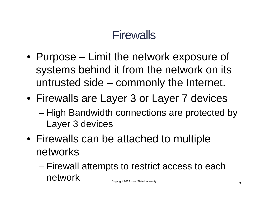- Purpose Limit the network exposure of systems behind it from the network on its untrusted side – commonly the Internet.
- Firewalls are Layer 3 or Layer 7 devices
	- High Bandwidth connections are protected by Layer 3 devices
- Firewalls can be attached to multiple networks
	- Firewall attempts to restrict access to each network Copyright 2013 Iowa State University 5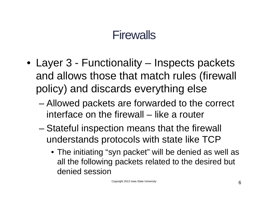- Layer 3 Functionality Inspects packets and allows those that match rules (firewall policy) and discards everything else
	- Allowed packets are forwarded to the correct interface on the firewall – like a router
	- Stateful inspection means that the firewall understands protocols with state like TCP
		- The initiating "syn packet" will be denied as well as all the following packets related to the desired but denied session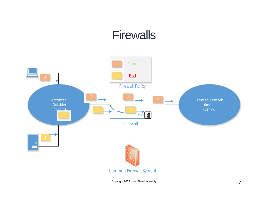

Copyright 2013 Iowa State University **7**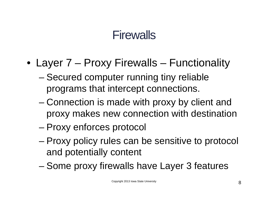- Layer 7 Proxy Firewalls Functionality
	- Secured computer running tiny reliable programs that intercept connections.
	- Connection is made with proxy by client and proxy makes new connection with destination
	- Proxy enforces protocol
	- Proxy policy rules can be sensitive to protocol and potentially content
	- Some proxy firewalls have Layer 3 features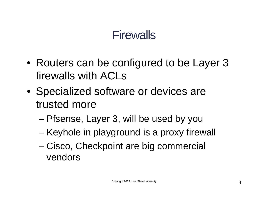- Routers can be configured to be Layer 3 firewalls with ACLs
- Specialized software or devices are trusted more
	- Pfsense, Layer 3, will be used by you
	- Keyhole in playground is a proxy firewall
	- Cisco, Checkpoint are big commercial vendors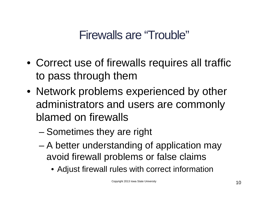# Firewalls are "Trouble"

- Correct use of firewalls requires all traffic to pass through them
- Network problems experienced by other administrators and users are commonly blamed on firewalls
	- Sometimes they are right
	- A better understanding of application may avoid firewall problems or false claims
		- Adjust firewall rules with correct information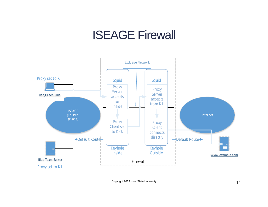#### ISEAGE Firewall



Copyright 2013 Iowa State University 11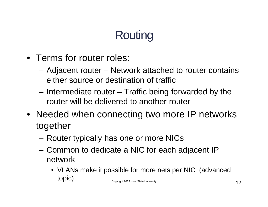# **Routing**

- Terms for router roles:
	- Adjacent router Network attached to router contains either source or destination of traffic
	- Intermediate router Traffic being forwarded by the router will be delivered to another router
- Needed when connecting two more IP networks together
	- Router typically has one or more NICs
	- Common to dedicate a NIC for each adjacent IP network
		- VLANs make it possible for more nets per NIC (advanced  $\text{topic)}$  Copyright 2013 Iowa State University 12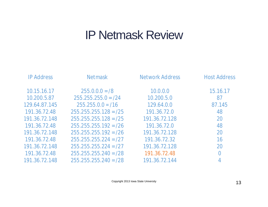#### IP Netmask Review

| <b>IP Address</b> | <b>Netmask</b>          | <b>Network Address</b> | <b>Host Address</b> |
|-------------------|-------------------------|------------------------|---------------------|
| 10.15.16.17       | $255.0.0.0 = 8$         | 10.0.0.0               | 15.16.17            |
| 10.200.5.87       | $255.255.255.0 = /24$   | 10.200.5.0             | 87                  |
| 129.64.87.145     | $255.255.0.0 = 716$     | 129.64.0.0             | 87.145              |
| 191.36.72.48      | $255.255.255.128 = /25$ | 191.36.72.0            | 48                  |
| 191.36.72.148     | $255.255.255.128 = 725$ | 191.36.72.128          | 20                  |
| 191.36.72.48      | $255.255.255.192 = 26$  | 191.36.72.0            | 48                  |
| 191.36.72.148     | $255.255.255.192 = 26$  | 191.36.72.128          | 20                  |
| 191.36.72.48      | $255.255.255.224 = 27$  | 191.36.72.32           | 16                  |
| 191.36.72.148     | $255.255.255.224 = /27$ | 191.36.72.128          | 20                  |
| 191.36.72.48      | $255.255.255.240 = /28$ | 191.36.72.48           | $\overline{0}$      |
| 191.36.72.148     | $255.255.255.240 = /28$ | 191.36.72.144          |                     |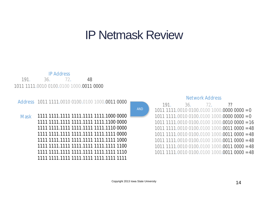#### IP Netmask Review

AND



#### Address 1011 1111.0010 0100.0100 1000.0011 0000

 1111.1111 1111.1111 1111.1000 0000 1111.1111 1111.1111 1111.1100 0000 1111.1111 1111.1111 1111.1110 0000 1111.1111 1111.1111 1111.1111 0000 1111.1111 1111.1111 1111.1111 1000 1111.1111 1111.1111 1111.1111 1100 1111.1111 1111.1111 1111.1111 1110 1111.1111 1111.1111 1111.1111 1111 **Mask** 

#### Network Address

191. 36. 72. ?? 1111.0010 0100.0100 1000.0000 0000 = 0  $1011 1111.0010 0100.0100 1000.0000 0000 = 0$  1111.0010 0100.0100 1000.0010 0000 = 16 1111.0010 0100.0100 1000.0011 0000 = 48 1111.0010 0100.0100 1000.0011 0000 = 48 1111.0010 0100.0100 1000.0011 0000 = 48 1111.0010 0100.0100 1000.0011 0000 = 48 1111.0010 0100.0100 1000.0011 0000 = 48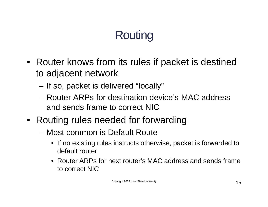# **Routing**

- Router knows from its rules if packet is destined to adjacent network
	- If so, packet is delivered "locally"
	- Router ARPs for destination device's MAC address and sends frame to correct NIC
- Routing rules needed for forwarding
	- Most common is Default Route
		- If no existing rules instructs otherwise, packet is forwarded to default router
		- Router ARPs for next router's MAC address and sends frame to correct NIC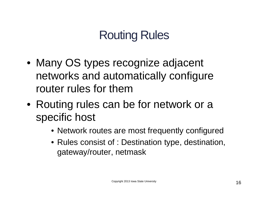# Routing Rules

- Many OS types recognize adjacent networks and automatically configure router rules for them
- Routing rules can be for network or a specific host
	- Network routes are most frequently configured
	- Rules consist of : Destination type, destination, gateway/router, netmask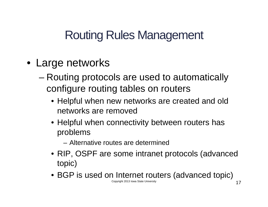# Routing Rules Management

- Large networks
	- Routing protocols are used to automatically configure routing tables on routers
		- Helpful when new networks are created and old networks are removed
		- Helpful when connectivity between routers has problems
			- Alternative routes are determined
		- RIP, OSPF are some intranet protocols (advanced topic)
		- BGP is used on Internet routers (advanced topic) Copyright 2013 Iowa State University **17**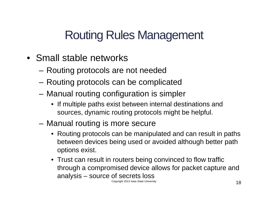# Routing Rules Management

- Small stable networks
	- Routing protocols are not needed
	- Routing protocols can be complicated
	- Manual routing configuration is simpler
		- If multiple paths exist between internal destinations and sources, dynamic routing protocols might be helpful.
	- Manual routing is more secure
		- Routing protocols can be manipulated and can result in paths between devices being used or avoided although better path options exist.
		- Trust can result in routers being convinced to flow traffic through a compromised device allows for packet capture and analysis – source of secrets loss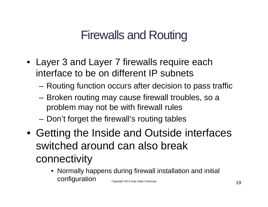# Firewalls and Routing

- Layer 3 and Layer 7 firewalls require each interface to be on different IP subnets
	- Routing function occurs after decision to pass traffic
	- Broken routing may cause firewall troubles, so a problem may not be with firewall rules
	- Don't forget the firewall's routing tables
- Getting the Inside and Outside interfaces switched around can also break connectivity
	- Normally happens during firewall installation and initial configuration Copyright 2013 Iowa State University 19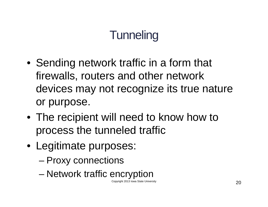- Sending network traffic in a form that firewalls, routers and other network devices may not recognize its true nature or purpose.
- The recipient will need to know how to process the tunneled traffic
- Legitimate purposes:
	- Proxy connections
	- Network traffic encryption

Copyright 2013 Iowa State University  $20$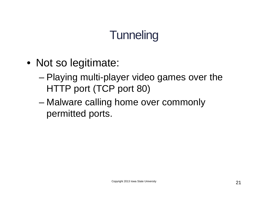- Not so legitimate:
	- Playing multi-player video games over the HTTP port (TCP port 80)
	- Malware calling home over commonly permitted ports.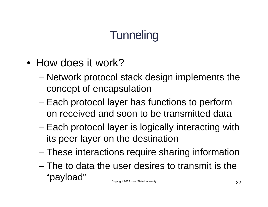- How does it work?
	- Network protocol stack design implements the concept of encapsulation
	- Each protocol layer has functions to perform on received and soon to be transmitted data
	- Each protocol layer is logically interacting with its peer layer on the destination
	- These interactions require sharing information
	- The to data the user desires to transmit is the  $\lq\lq$ payload"  $\lq\lq$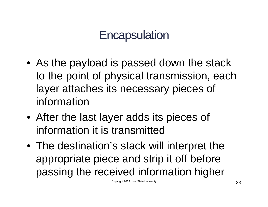# **Encapsulation**

- As the payload is passed down the stack to the point of physical transmission, each layer attaches its necessary pieces of information
- After the last layer adds its pieces of information it is transmitted
- The destination's stack will interpret the appropriate piece and strip it off before passing the received information higher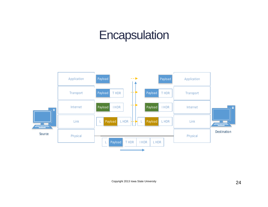#### **Encapsulation**



Copyright 2013 Iowa State University 24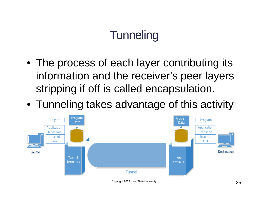- The process of each layer contributing its information and the receiver's peer layers stripping if off is called encapsulation.
- Tunneling takes advantage of this activity

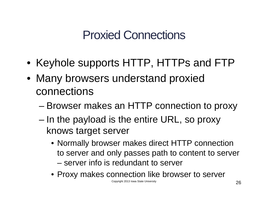# Proxied Connections

- Keyhole supports HTTP, HTTPs and FTP
- Many browsers understand proxied connections
	- Browser makes an HTTP connection to proxy
	- In the payload is the entire URL, so proxy knows target server
		- Normally browser makes direct HTTP connection to server and only passes path to content to server – server info is redundant to server
		- Proxy makes connection like browser to server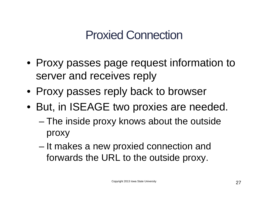# Proxied Connection

- Proxy passes page request information to server and receives reply
- Proxy passes reply back to browser
- But, in ISEAGE two proxies are needed.
	- The inside proxy knows about the outside proxy
	- It makes a new proxied connection and forwards the URL to the outside proxy.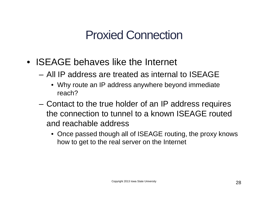# Proxied Connection

- **ISEAGE** behaves like the Internet
	- All IP address are treated as internal to ISEAGE
		- Why route an IP address anywhere beyond immediate reach?
	- Contact to the true holder of an IP address requires the connection to tunnel to a known ISEAGE routed and reachable address
		- Once passed though all of ISEAGE routing, the proxy knows how to get to the real server on the Internet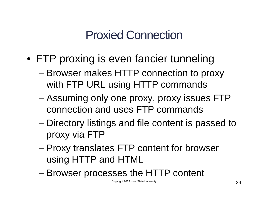# Proxied Connection

- FTP proxing is even fancier tunneling
	- Browser makes HTTP connection to proxy with FTP URL using HTTP commands
	- Assuming only one proxy, proxy issues FTP connection and uses FTP commands
	- Directory listings and file content is passed to proxy via FTP
	- Proxy translates FTP content for browser using HTTP and HTML
	- Browser processes the HTTP content

Copyright 2013 Iowa State University **29**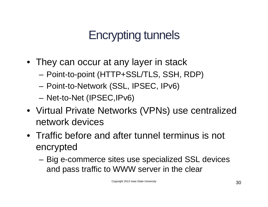# Encrypting tunnels

- They can occur at any layer in stack
	- Point-to-point (HTTP+SSL/TLS, SSH, RDP)
	- Point-to-Network (SSL, IPSEC, IPv6)
	- Net-to-Net (IPSEC,IPv6)
- Virtual Private Networks (VPNs) use centralized network devices
- Traffic before and after tunnel terminus is not encrypted
	- Big e-commerce sites use specialized SSL devices and pass traffic to WWW server in the clear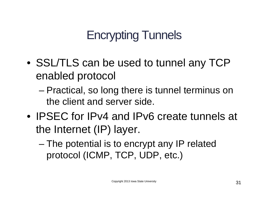# Encrypting Tunnels

- SSL/TLS can be used to tunnel any TCP enabled protocol
	- Practical, so long there is tunnel terminus on the client and server side.
- IPSEC for IPv4 and IPv6 create tunnels at the Internet (IP) layer.
	- The potential is to encrypt any IP related protocol (ICMP, TCP, UDP, etc.)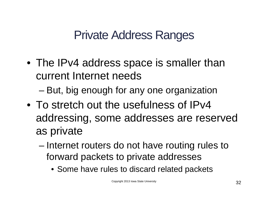# Private Address Ranges

• The IPv4 address space is smaller than current Internet needs

– But, big enough for any one organization

- To stretch out the usefulness of IPv4 addressing, some addresses are reserved as private
	- Internet routers do not have routing rules to forward packets to private addresses
		- Some have rules to discard related packets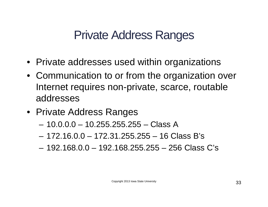#### Private Address Ranges

- Private addresses used within organizations
- Communication to or from the organization over Internet requires non-private, scarce, routable addresses
- Private Address Ranges
	- 10.0.0.0 10.255.255.255 Class A
	- $-172.16.0.0 172.31.255.255 16 Class B's$
	- 192.168.0.0 192.168.255.255 256 Class C's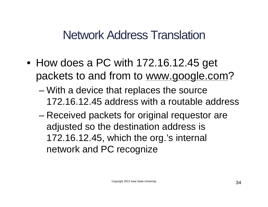#### Network Address Translation

- How does a PC with 172.16.12.45 get packets to and from to [www.google.com?](http://www.google.com)
	- With a device that replaces the source 172.16.12.45 address with a routable address
	- Received packets for original requestor are adjusted so the destination address is 172.16.12.45, which the org.'s internal network and PC recognize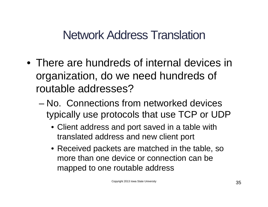#### Network Address Translation

- There are hundreds of internal devices in organization, do we need hundreds of routable addresses?
	- No. Connections from networked devices typically use protocols that use TCP or UDP
		- Client address and port saved in a table with translated address and new client port
		- Received packets are matched in the table, so more than one device or connection can be mapped to one routable address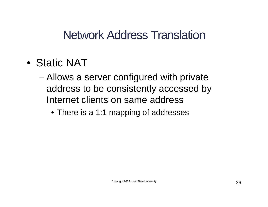#### Network Address Translation

- Static NAT
	- Allows a server configured with private address to be consistently accessed by Internet clients on same address
		- There is a 1:1 mapping of addresses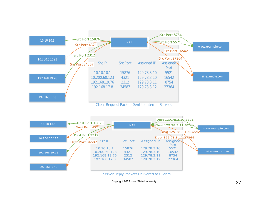

Copyright 2013 Iowa State University **37**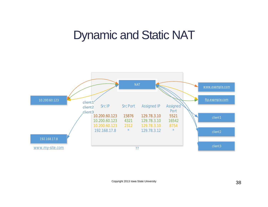#### Dynamic and Static NAT

![](_page_37_Figure_1.jpeg)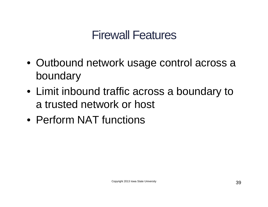## Firewall Features

- Outbound network usage control across a boundary
- Limit inbound traffic across a boundary to a trusted network or host
- Perform NAT functions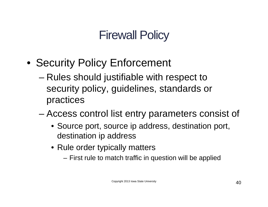# Firewall Policy

- Security Policy Enforcement
	- Rules should justifiable with respect to security policy, guidelines, standards or practices
	- Access control list entry parameters consist of
		- Source port, source ip address, destination port, destination ip address
		- Rule order typically matters
			- First rule to match traffic in question will be applied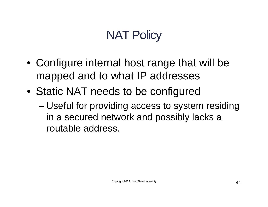# **NAT Policy**

- Configure internal host range that will be mapped and to what IP addresses
- Static NAT needs to be configured
	- Useful for providing access to system residing in a secured network and possibly lacks a routable address.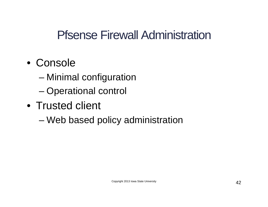#### Pfsense Firewall Administration

- Console
	- Minimal configuration
	- Operational control
- Trusted client
	- Web based policy administration